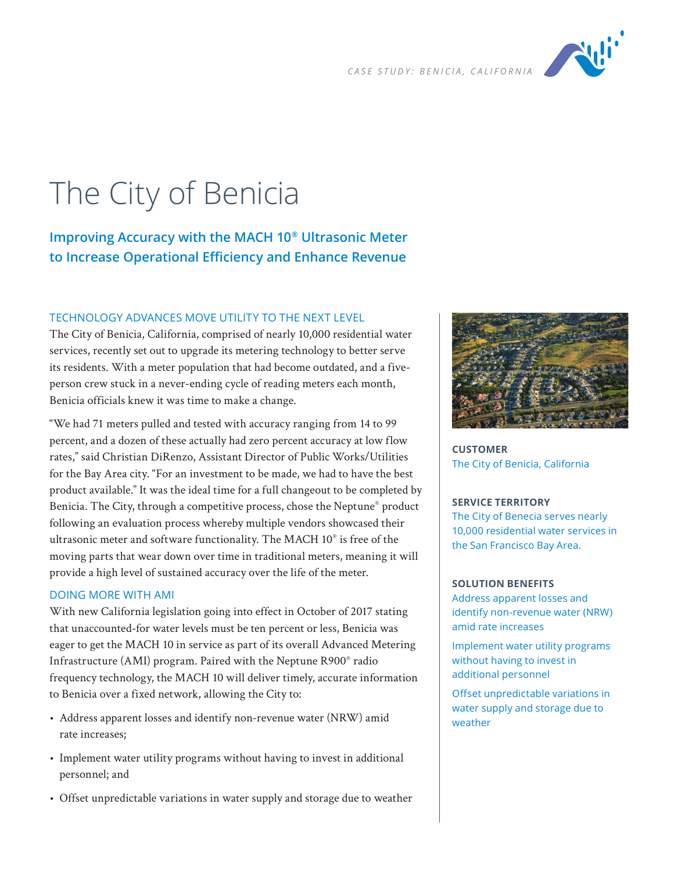

# The City of Benicia

# **Improving Accuracy with the MACH 10® Ultrasonic Meter to Increase Operational Efficiency and Enhance Revenue**

## TECHNOLOGY ADVANCES MOVE UTILITY TO THE NEXT LEVEL

The City of Benicia, California, comprised of nearly 10,000 residential water services, recently set out to upgrade its metering technology to better serve its residents. With a meter population that had become outdated, and a fiveperson crew stuck in a never-ending cycle of reading meters each month, Benicia officials knew it was time to make a change.

"We had 71 meters pulled and tested with accuracy ranging from 14 to 99 percent, and a dozen of these actually had zero percent accuracy at low flow rates," said Christian DiRenzo, Assistant Director of Public Works/Utilities for the Bay Area city. "For an investment to be made, we had to have the best product available." It was the ideal time for a full changeout to be completed by Benicia. The City, through a competitive process, chose the Neptune® product following an evaluation process whereby multiple vendors showcased their ultrasonic meter and software functionality. The MACH 10® is free of the moving parts that wear down over time in traditional meters, meaning it will provide a high level of sustained accuracy over the life of the meter.

### DOING MORE WITH AMI

With new California legislation going into effect in October of 2017 stating that unaccounted-for water levels must be ten percent or less, Benicia was eager to get the MACH 10 in service as part of its overall Advanced Metering Infrastructure (AMI) program. Paired with the Neptune R900® radio frequency technology, the MACH 10 will deliver timely, accurate information to Benicia over a fixed network, allowing the City to:

- Address apparent losses and identify non-revenue water (NRW) amid rate increases;
- Implement water utility programs without having to invest in additional personnel; and
- Offset unpredictable variations in water supply and storage due to weather



**CUSTOMER** The City of Benicia, California

#### **SERVICE TERRITORY**

The City of Benecia serves nearly 10,000 residential water services in the San Francisco Bay Area.

#### **SOLUTION BENEFITS**

Address apparent losses and identify non-revenue water (NRW) amid rate increases

Implement water utility programs without having to invest in additional personnel

Offset unpredictable variations in water supply and storage due to weather